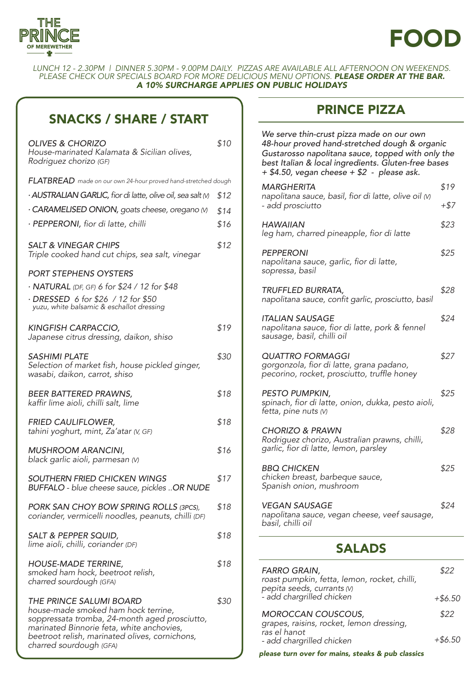

# FOOD

LUNCH 12 - 2.30PM | DINNER 5.30PM - 9.00PM DAILY. PIZZAS ARE AVAILABLE ALL AFTERNOON ON WEEKENDS. PLEASE CHECK OUR SPECIALS BOARD FOR MORE DELICIOUS MENU OPTIONS. *PLEASE ORDER AT THE BAR. A 10% SURCHARGE APPLIES ON PUBLIC HOLIDAYS*

## SNACKS / SHARE / START

| <b>OLIVES &amp; CHORIZO</b><br>House-marinated Kalamata & Sicilian olives,<br>Rodriguez chorizo (GF)                                                                                                                                             | \$10 |  |
|--------------------------------------------------------------------------------------------------------------------------------------------------------------------------------------------------------------------------------------------------|------|--|
| FLATBREAD made on our own 24-hour proved hand-stretched dough                                                                                                                                                                                    |      |  |
| • AUSTRALIAN GARLIC, fior di latte, olive oil, sea salt M                                                                                                                                                                                        | \$12 |  |
| · CARAMELISED ONION, goats cheese, oregano M                                                                                                                                                                                                     | \$14 |  |
| · PEPPERONI, fior di latte, chilli                                                                                                                                                                                                               | \$16 |  |
| SALT & VINEGAR CHIPS<br>Triple cooked hand cut chips, sea salt, vinegar                                                                                                                                                                          | \$12 |  |
| <b>PORT STEPHENS OYSTERS</b>                                                                                                                                                                                                                     |      |  |
| • <b>NATURAL</b> (DF, GF) 6 for \$24 / 12 for \$48                                                                                                                                                                                               |      |  |
| · DRESSED 6 for \$26 / 12 for \$50<br>yuzu, white balsamic & eschallot dressing                                                                                                                                                                  |      |  |
| <b>KINGFISH CARPACCIO,</b><br>Japanese citrus dressing, daikon, shiso                                                                                                                                                                            | \$19 |  |
| <b>SASHIMI PLATE</b><br>Selection of market fish, house pickled ginger,<br>wasabi, daikon, carrot, shiso                                                                                                                                         | \$30 |  |
| <b>BEER BATTERED PRAWNS,</b><br>kaffir lime aioli, chilli salt, lime                                                                                                                                                                             | \$18 |  |
| <b>FRIED CAULIFLOWER,</b><br>tahini yoghurt, mint, Za'atar (V, GF)                                                                                                                                                                               | \$18 |  |
| <b>MUSHROOM ARANCINI,</b><br>black garlic aioli, parmesan (V)                                                                                                                                                                                    | \$16 |  |
| SOUTHERN FRIED CHICKEN WINGS<br>BUFFALO - blue cheese sauce, pickles OR NUDE                                                                                                                                                                     | \$17 |  |
| PORK SAN CHOY BOW SPRING ROLLS (3PCS),<br>coriander, vermicelli noodles, peanuts, chilli (DF)                                                                                                                                                    | \$18 |  |
| SALT & PEPPER SQUID,<br>lime aioli, chilli, coriander (DF)                                                                                                                                                                                       | \$18 |  |
| <b>HOUSE-MADE TERRINE,</b><br>smoked ham hock, beetroot relish,<br>charred sourdough (GFA)                                                                                                                                                       | \$18 |  |
| <b>THE PRINCE SALUMI BOARD</b><br>house-made smoked ham hock terrine,<br>soppressata tromba, 24-month aged prosciutto,<br>marinated Binnorie feta, white anchovies,<br>beetroot relish, marinated olives, cornichons,<br>charred sourdough (GFA) | \$30 |  |

#### PRINCE PIZZA

| We serve thin-crust pizza made on our own<br>48-hour proved hand-stretched dough & organic<br>Gustarosso napolitana sauce, topped with only the<br>best Italian & local ingredients. Gluten-free bases<br>+ \$4.50, vegan cheese + \$2 - please ask. |           |  |
|------------------------------------------------------------------------------------------------------------------------------------------------------------------------------------------------------------------------------------------------------|-----------|--|
| <b>MARGHERITA</b><br>napolitana sauce, basil, fior di latte, olive oil (v)                                                                                                                                                                           | \$19      |  |
| - add prosciutto                                                                                                                                                                                                                                     | +\$7      |  |
| <b>HAWAIIAN</b><br>leg ham, charred pineapple, fior di latte                                                                                                                                                                                         | \$23      |  |
| <b>PEPPERONI</b><br>napolitana sauce, garlic, fior di latte,<br>sopressa, basil                                                                                                                                                                      | \$25      |  |
| TRUFFLED BURRATA,<br>napolitana sauce, confit garlic, prosciutto, basil                                                                                                                                                                              | \$28      |  |
| <b>ITALIAN SAUSAGE</b><br>napolitana sauce, fior di latte, pork & fennel<br>sausage, basil, chilli oil                                                                                                                                               | \$24      |  |
| <b>QUATTRO FORMAGGI</b><br>gorgonzola, fior di latte, grana padano,<br>pecorino, rocket, prosciutto, truffle honey                                                                                                                                   | \$27      |  |
| PESTO PUMPKIN,<br>spinach, fior di latte, onion, dukka, pesto aioli,<br>fetta, pine nuts (V)                                                                                                                                                         | \$25      |  |
| <b>CHORIZO &amp; PRAWN</b><br>Rodriguez chorizo, Australian prawns, chilli,<br>garlic, fior di latte, lemon, parsley                                                                                                                                 | \$28      |  |
| <b>BBQ CHICKEN</b><br>chicken breast, barbeque sauce,<br>Spanish onion, mushroom                                                                                                                                                                     | \$25      |  |
| <b>VEGAN SAUSAGE</b><br>napolitana sauce, vegan cheese, veef sausage,<br>basil, chilli oil                                                                                                                                                           | \$24      |  |
| <b>SALADS</b>                                                                                                                                                                                                                                        |           |  |
| FARRO GRAIN,<br>roast pumpkin, fetta, lemon, rocket, chilli,<br>pepita seeds, currants (V)                                                                                                                                                           | \$22      |  |
| - add chargrilled chicken                                                                                                                                                                                                                            | $+ $6.50$ |  |

| <b>MOROCCAN COUSCOUS,</b><br>grapes, raisins, rocket, lemon dressing,<br>ras el hanot<br>- add chargrilled chicken | \$22<br>$+ $6.50$ |
|--------------------------------------------------------------------------------------------------------------------|-------------------|
| please turn over for mains, steaks & pub classics                                                                  |                   |